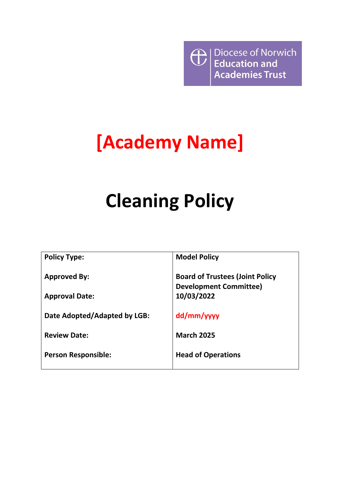**D** Diocese of Norwich<br> **Education and<br>
Academies Trust** 

## **[Academy Name]**

# **Cleaning Policy**

| <b>Policy Type:</b>          | <b>Model Policy</b>                                                     |
|------------------------------|-------------------------------------------------------------------------|
| <b>Approved By:</b>          | <b>Board of Trustees (Joint Policy</b><br><b>Development Committee)</b> |
| <b>Approval Date:</b>        | 10/03/2022                                                              |
| Date Adopted/Adapted by LGB: | dd/mm/yyyy                                                              |
| <b>Review Date:</b>          | <b>March 2025</b>                                                       |
| <b>Person Responsible:</b>   | <b>Head of Operations</b>                                               |
|                              |                                                                         |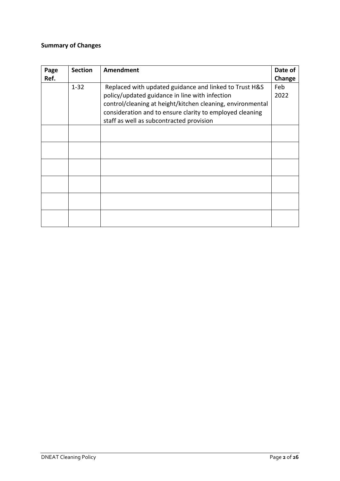## **Summary of Changes**

| Page | <b>Section</b> | <b>Amendment</b>                                           | Date of |
|------|----------------|------------------------------------------------------------|---------|
| Ref. |                |                                                            | Change  |
|      | $1 - 32$       | Replaced with updated guidance and linked to Trust H&S     | Feb     |
|      |                | policy/updated guidance in line with infection             | 2022    |
|      |                | control/cleaning at height/kitchen cleaning, environmental |         |
|      |                | consideration and to ensure clarity to employed cleaning   |         |
|      |                | staff as well as subcontracted provision                   |         |
|      |                |                                                            |         |
|      |                |                                                            |         |
|      |                |                                                            |         |
|      |                |                                                            |         |
|      |                |                                                            |         |
|      |                |                                                            |         |
|      |                |                                                            |         |
|      |                |                                                            |         |
|      |                |                                                            |         |
|      |                |                                                            |         |
|      |                |                                                            |         |
|      |                |                                                            |         |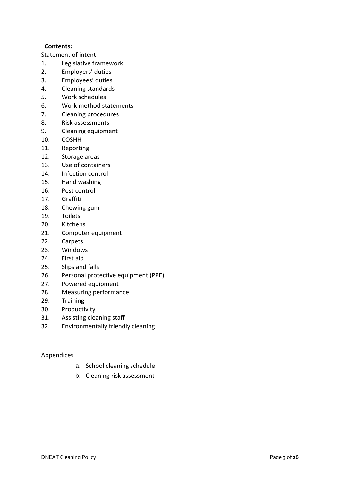## **Contents:**

Statement of intent

- 1. Legislative framework
- 2. Employers' duties
- 3. Employees' duties
- 4. Cleaning standards
- 5. Work schedules
- 6. Work method statements
- 7. Cleaning procedures
- 8. Risk assessments
- 9. Cleaning equipment
- 10. COSHH
- 11. Reporting
- 12. Storage areas
- 13. Use of containers
- 14. Infection control
- 15. Hand washing
- 16. Pest control
- 17. Graffiti
- 18. Chewing gum
- 19. Toilets
- 20. Kitchens
- 21. Computer equipment
- 22. Carpets
- 23. Windows
- 24. First aid
- 25. Slips and falls
- 26. Personal protective equipment (PPE)
- 27. Powered equipment
- 28. Measuring performance
- 29. Training
- 30. Productivity
- 31. Assisting cleaning staff
- 32. Environmentally friendly cleaning

### Appendices

- a. School cleaning schedule
- b. Cleaning risk assessment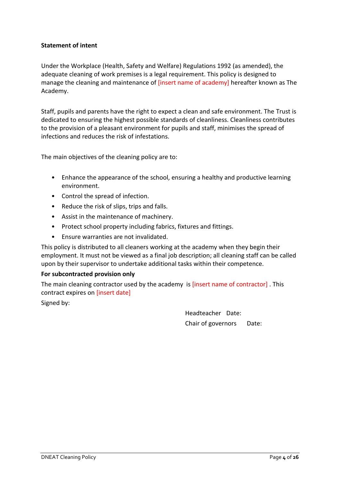## **Statement of intent**

Under the Workplace (Health, Safety and Welfare) Regulations 1992 (as amended), the adequate cleaning of work premises is a legal requirement. This policy is designed to manage the cleaning and maintenance of [insert name of academy] hereafter known as The Academy.

Staff, pupils and parents have the right to expect a clean and safe environment. The Trust is dedicated to ensuring the highest possible standards of cleanliness. Cleanliness contributes to the provision of a pleasant environment for pupils and staff, minimises the spread of infections and reduces the risk of infestations.

The main objectives of the cleaning policy are to:

- Enhance the appearance of the school, ensuring a healthy and productive learning environment.
- Control the spread of infection.
- Reduce the risk of slips, trips and falls.
- Assist in the maintenance of machinery.
- Protect school property including fabrics, fixtures and fittings.
- Ensure warranties are not invalidated.

This policy is distributed to all cleaners working at the academy when they begin their employment. It must not be viewed as a final job description; all cleaning staff can be called upon by their supervisor to undertake additional tasks within their competence.

### **For subcontracted provision only**

The main cleaning contractor used by the academy is [insert name of contractor] . This contract expires on [insert date]

Signed by:

Headteacher Date: Chair of governors Date: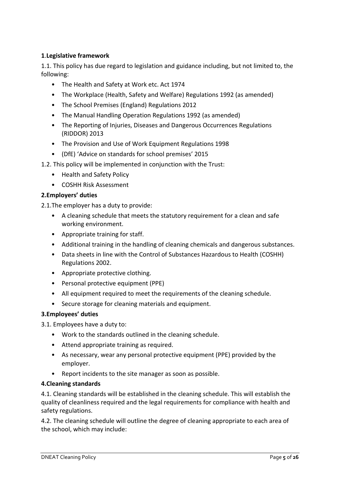## **1**.**Legislative framework**

1.1. This policy has due regard to legislation and guidance including, but not limited to, the following:

- The Health and Safety at Work etc. Act 1974
- The Workplace (Health, Safety and Welfare) Regulations 1992 (as amended)
- The School Premises (England) Regulations 2012
- The Manual Handling Operation Regulations 1992 (as amended)
- The Reporting of Injuries, Diseases and Dangerous Occurrences Regulations (RIDDOR) 2013
- The Provision and Use of Work Equipment Regulations 1998
- (DfE) 'Advice on standards for school premises' 2015
- 1.2. This policy will be implemented in conjunction with the Trust:
	- Health and Safety Policy
	- COSHH Risk Assessment

## **2.Employers' duties**

2.1.The employer has a duty to provide:

- A cleaning schedule that meets the statutory requirement for a clean and safe working environment.
- Appropriate training for staff.
- Additional training in the handling of cleaning chemicals and dangerous substances.
- Data sheets in line with the Control of Substances Hazardous to Health (COSHH) Regulations 2002.
- Appropriate protective clothing.
- Personal protective equipment (PPE)
- All equipment required to meet the requirements of the cleaning schedule.
- Secure storage for cleaning materials and equipment.

### **3.Employees' duties**

3.1. Employees have a duty to:

- Work to the standards outlined in the cleaning schedule.
- Attend appropriate training as required.
- As necessary, wear any personal protective equipment (PPE) provided by the employer.
- Report incidents to the site manager as soon as possible.

### **4.Cleaning standards**

4.1. Cleaning standards will be established in the cleaning schedule. This will establish the quality of cleanliness required and the legal requirements for compliance with health and safety regulations.

4.2. The cleaning schedule will outline the degree of cleaning appropriate to each area of the school, which may include: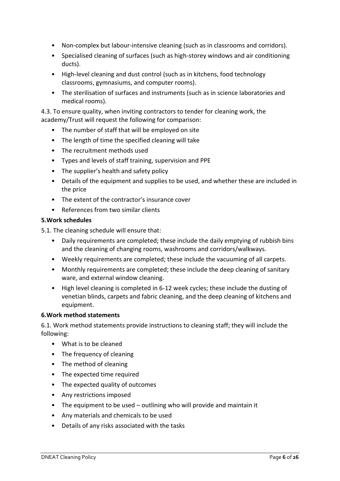- Non-complex but labour-intensive cleaning (such as in classrooms and corridors).
- Specialised cleaning of surfaces (such as high-storey windows and air conditioning ducts).
- High-level cleaning and dust control (such as in kitchens, food technology classrooms, gymnasiums, and computer rooms).
- The sterilisation of surfaces and instruments (such as in science laboratories and medical rooms).

4.3. To ensure quality, when inviting contractors to tender for cleaning work, the academy/Trust will request the following for comparison:

- The number of staff that will be employed on site
- The length of time the specified cleaning will take
- The recruitment methods used
- Types and levels of staff training, supervision and PPE
- The supplier's health and safety policy
- Details of the equipment and supplies to be used, and whether these are included in the price
- The extent of the contractor's insurance cover
- References from two similar clients

### **5.Work schedules**

5.1. The cleaning schedule will ensure that:

- Daily requirements are completed; these include the daily emptying of rubbish bins and the cleaning of changing rooms, washrooms and corridors/walkways.
- Weekly requirements are completed; these include the vacuuming of all carpets.
- Monthly requirements are completed; these include the deep cleaning of sanitary ware, and external window cleaning.
- High level cleaning is completed in 6-12 week cycles; these include the dusting of venetian blinds, carpets and fabric cleaning, and the deep cleaning of kitchens and equipment.

## **6.Work method statements**

6.1. Work method statements provide instructions to cleaning staff; they will include the following:

- What is to be cleaned
- The frequency of cleaning
- The method of cleaning
- The expected time required
- The expected quality of outcomes
- Any restrictions imposed
- The equipment to be used outlining who will provide and maintain it
- Any materials and chemicals to be used
- Details of any risks associated with the tasks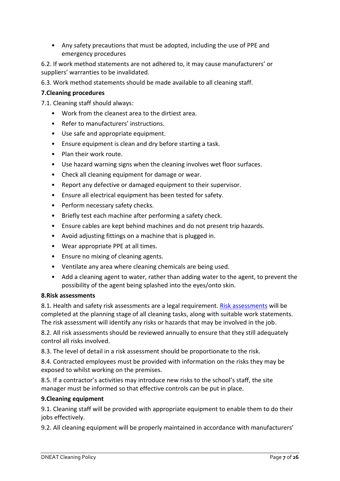• Any safety precautions that must be adopted, including the use of PPE and emergency procedures

6.2. If work method statements are not adhered to, it may cause manufacturers' or suppliers' warranties to be invalidated.

6.3. Work method statements should be made available to all cleaning staff.

## **7.Cleaning procedures**

7.1. Cleaning staff should always:

- Work from the cleanest area to the dirtiest area.
- Refer to manufacturers' instructions.
- Use safe and appropriate equipment.
- Ensure equipment is clean and dry before starting a task.
- Plan their work route.
- Use hazard warning signs when the cleaning involves wet floor surfaces.
- Check all cleaning equipment for damage or wear.
- Report any defective or damaged equipment to their supervisor.
- Ensure all electrical equipment has been tested for safety.
- Perform necessary safety checks.
- Briefly test each machine after performing a safety check.
- Ensure cables are kept behind machines and do not present trip hazards.
- Avoid adjusting fittings on a machine that is plugged in.
- Wear appropriate PPE at all times.
- Ensure no mixing of cleaning agents.
- Ventilate any area where cleaning chemicals are being used.
- Add a cleaning agent to water, rather than adding water to the agent, to prevent the possibility of the agent being splashed into the eyes/onto skin.

### **8.Risk assessments**

8.1. Health and safety risk assessments are a legal requirement. [Risk assessments](https://www.infospace.org.uk/hr/) will be completed at the planning stage of all cleaning tasks, along with suitable work statements. The risk assessment will identify any risks or hazards that may be involved in the job.

8.2. All risk assessments should be reviewed annually to ensure that they still adequately control all risks involved.

8.3. The level of detail in a risk assessment should be proportionate to the risk.

8.4. Contracted employees must be provided with information on the risks they may be exposed to whilst working on the premises.

8.5. If a contractor's activities may introduce new risks to the school's staff, the site manager must be informed so that effective controls can be put in place.

## **9.Cleaning equipment**

9.1. Cleaning staff will be provided with appropriate equipment to enable them to do their jobs effectively.

9.2. All cleaning equipment will be properly maintained in accordance with manufacturers'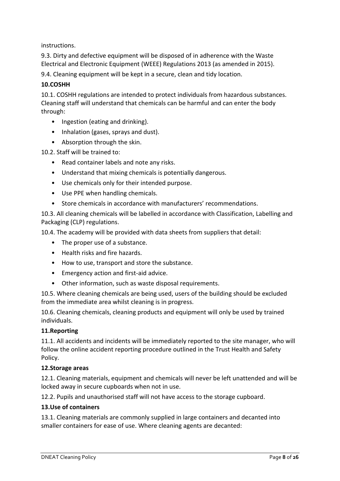instructions.

9.3. Dirty and defective equipment will be disposed of in adherence with the Waste Electrical and Electronic Equipment (WEEE) Regulations 2013 (as amended in 2015).

9.4. Cleaning equipment will be kept in a secure, clean and tidy location.

## **10.COSHH**

10.1. COSHH regulations are intended to protect individuals from hazardous substances. Cleaning staff will understand that chemicals can be harmful and can enter the body through:

- Ingestion (eating and drinking).
- Inhalation (gases, sprays and dust).
- Absorption through the skin.

10.2. Staff will be trained to:

- Read container labels and note any risks.
- Understand that mixing chemicals is potentially dangerous.
- Use chemicals only for their intended purpose.
- Use PPE when handling chemicals.
- Store chemicals in accordance with manufacturers' recommendations.

10.3. All cleaning chemicals will be labelled in accordance with Classification, Labelling and Packaging (CLP) regulations.

10.4. The academy will be provided with data sheets from suppliers that detail:

- The proper use of a substance.
- Health risks and fire hazards.
- How to use, transport and store the substance.
- Emergency action and first-aid advice.
- Other information, such as waste disposal requirements.

10.5. Where cleaning chemicals are being used, users of the building should be excluded from the immediate area whilst cleaning is in progress.

10.6. Cleaning chemicals, cleaning products and equipment will only be used by trained individuals.

### **11.Reporting**

11.1. All accidents and incidents will be immediately reported to the site manager, who will follow the online accident reporting procedure outlined in the Trust Health and Safety Policy.

### **12.Storage areas**

12.1. Cleaning materials, equipment and chemicals will never be left unattended and will be locked away in secure cupboards when not in use.

12.2. Pupils and unauthorised staff will not have access to the storage cupboard.

### **13.Use of containers**

13.1. Cleaning materials are commonly supplied in large containers and decanted into smaller containers for ease of use. Where cleaning agents are decanted: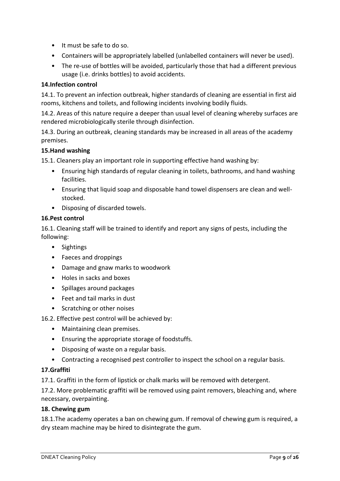- It must be safe to do so.
- Containers will be appropriately labelled (unlabelled containers will never be used).
- The re-use of bottles will be avoided, particularly those that had a different previous usage (i.e. drinks bottles) to avoid accidents.

## **14.Infection control**

14.1. To prevent an infection outbreak, higher standards of cleaning are essential in first aid rooms, kitchens and toilets, and following incidents involving bodily fluids.

14.2. Areas of this nature require a deeper than usual level of cleaning whereby surfaces are rendered microbiologically sterile through disinfection.

14.3. During an outbreak, cleaning standards may be increased in all areas of the academy premises.

## **15.Hand washing**

15.1. Cleaners play an important role in supporting effective hand washing by:

- Ensuring high standards of regular cleaning in toilets, bathrooms, and hand washing facilities.
- Ensuring that liquid soap and disposable hand towel dispensers are clean and wellstocked.
- Disposing of discarded towels.

## **16.Pest control**

16.1. Cleaning staff will be trained to identify and report any signs of pests, including the following:

- Sightings
- Faeces and droppings
- Damage and gnaw marks to woodwork
- Holes in sacks and boxes
- Spillages around packages
- Feet and tail marks in dust
- Scratching or other noises

## 16.2. Effective pest control will be achieved by:

- Maintaining clean premises.
- Ensuring the appropriate storage of foodstuffs.
- Disposing of waste on a regular basis.
- Contracting a recognised pest controller to inspect the school on a regular basis.

### **17.Graffiti**

17.1. Graffiti in the form of lipstick or chalk marks will be removed with detergent.

17.2. More problematic graffiti will be removed using paint removers, bleaching and, where necessary, overpainting.

### **18. Chewing gum**

18.1.The academy operates a ban on chewing gum. If removal of chewing gum is required, a dry steam machine may be hired to disintegrate the gum.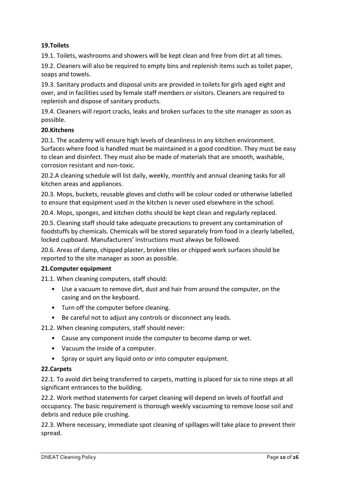## **19.Toilets**

19.1. Toilets, washrooms and showers will be kept clean and free from dirt at all times.

19.2. Cleaners will also be required to empty bins and replenish items such as toilet paper, soaps and towels.

19.3. Sanitary products and disposal units are provided in toilets for girls aged eight and over, and in facilities used by female staff members or visitors. Cleaners are required to replenish and dispose of sanitary products.

19.4. Cleaners will report cracks, leaks and broken surfaces to the site manager as soon as possible.

### **20.Kitchens**

20.1. The academy will ensure high levels of cleanliness in any kitchen environment. Surfaces where food is handled must be maintained in a good condition. They must be easy to clean and disinfect. They must also be made of materials that are smooth, washable, corrosion resistant and non-toxic.

20.2.A cleaning schedule will list daily, weekly, monthly and annual cleaning tasks for all kitchen areas and appliances.

20.3. Mops, buckets, reusable gloves and cloths will be colour coded or otherwise labelled to ensure that equipment used in the kitchen is never used elsewhere in the school.

20.4. Mops, sponges, and kitchen cloths should be kept clean and regularly replaced.

20.5. Cleaning staff should take adequate precautions to prevent any contamination of foodstuffs by chemicals. Chemicals will be stored separately from food in a clearly labelled, locked cupboard. Manufacturers' instructions must always be followed.

20.6. Areas of damp, chipped plaster, broken tiles or chipped work surfaces should be reported to the site manager as soon as possible.

### **21.Computer equipment**

21.1. When cleaning computers, staff should:

- Use a vacuum to remove dirt, dust and hair from around the computer, on the casing and on the keyboard.
- Turn off the computer before cleaning.
- Be careful not to adjust any controls or disconnect any leads.

21.2. When cleaning computers, staff should never:

- Cause any component inside the computer to become damp or wet.
- Vacuum the inside of a computer.
- Spray or squirt any liquid onto or into computer equipment.

### **22.Carpets**

22.1. To avoid dirt being transferred to carpets, matting is placed for six to nine steps at all significant entrances to the building.

22.2. Work method statements for carpet cleaning will depend on levels of footfall and occupancy. The basic requirement is thorough weekly vacuuming to remove loose soil and debris and reduce pile crushing.

22.3. Where necessary, immediate spot cleaning of spillages will take place to prevent their spread.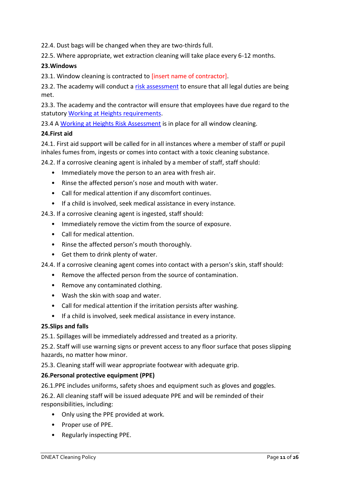22.4. Dust bags will be changed when they are two-thirds full.

22.5. Where appropriate, wet extraction cleaning will take place every 6-12 months.

## **23.Windows**

23.1. Window cleaning is contracted to [insert name of contractor].

23.2. The academy will conduct a [risk assessment](https://www.infospace.org.uk/hr/) to ensure that all legal duties are being met.

23.3. The academy and the contractor will ensure that employees have due regard to the statutory [Working at Heights requirements.](https://www.infospace.org.uk/search/?q=Working+at+Height+Policy+and+Procedure+P631)

23.4 [A Working at Heights Risk Assessment](https://www.infospace.org.uk/search/?q=Working+at+Height+Policy+and+Procedure+P631) is in place for all window cleaning.

## **24.First aid**

24.1. First aid support will be called for in all instances where a member of staff or pupil inhales fumes from, ingests or comes into contact with a toxic cleaning substance.

24.2. If a corrosive cleaning agent is inhaled by a member of staff, staff should:

- Immediately move the person to an area with fresh air.
- Rinse the affected person's nose and mouth with water.
- Call for medical attention if any discomfort continues.
- If a child is involved, seek medical assistance in every instance.

24.3. If a corrosive cleaning agent is ingested, staff should:

- Immediately remove the victim from the source of exposure.
- Call for medical attention.
- Rinse the affected person's mouth thoroughly.
- Get them to drink plenty of water.

24.4. If a corrosive cleaning agent comes into contact with a person's skin, staff should:

- Remove the affected person from the source of contamination.
- Remove any contaminated clothing.
- Wash the skin with soap and water.
- Call for medical attention if the irritation persists after washing.
- If a child is involved, seek medical assistance in every instance.

### **25.Slips and falls**

25.1. Spillages will be immediately addressed and treated as a priority.

25.2. Staff will use warning signs or prevent access to any floor surface that poses slipping hazards, no matter how minor.

25.3. Cleaning staff will wear appropriate footwear with adequate grip.

### **26.Personal protective equipment (PPE)**

26.1.PPE includes uniforms, safety shoes and equipment such as gloves and goggles.

26.2. All cleaning staff will be issued adequate PPE and will be reminded of their responsibilities, including:

- Only using the PPE provided at work.
- Proper use of PPE.
- Regularly inspecting PPE.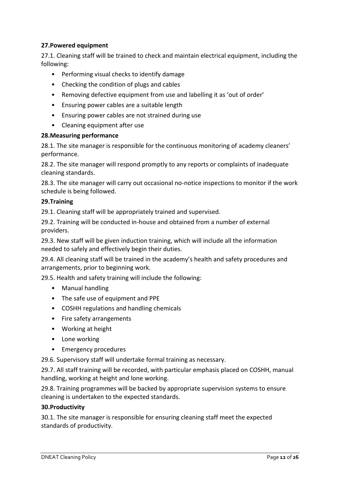## **27.Powered equipment**

27.1. Cleaning staff will be trained to check and maintain electrical equipment, including the following:

- Performing visual checks to identify damage
- Checking the condition of plugs and cables
- Removing defective equipment from use and labelling it as 'out of order'
- Ensuring power cables are a suitable length
- Ensuring power cables are not strained during use
- Cleaning equipment after use

## **28.Measuring performance**

28.1. The site manager is responsible for the continuous monitoring of academy cleaners' performance.

28.2. The site manager will respond promptly to any reports or complaints of inadequate cleaning standards.

28.3. The site manager will carry out occasional no-notice inspections to monitor if the work schedule is being followed.

## **29.Training**

29.1. Cleaning staff will be appropriately trained and supervised.

29.2. Training will be conducted in-house and obtained from a number of external providers.

29.3. New staff will be given induction training, which will include all the information needed to safely and effectively begin their duties.

29.4. All cleaning staff will be trained in the academy's health and safety procedures and arrangements, prior to beginning work.

29.5. Health and safety training will include the following:

- Manual handling
- The safe use of equipment and PPE
- COSHH regulations and handling chemicals
- Fire safety arrangements
- Working at height
- Lone working
- Emergency procedures

29.6. Supervisory staff will undertake formal training as necessary.

29.7. All staff training will be recorded, with particular emphasis placed on COSHH, manual handling, working at height and lone working.

29.8. Training programmes will be backed by appropriate supervision systems to ensure cleaning is undertaken to the expected standards.

## **30.Productivity**

30.1. The site manager is responsible for ensuring cleaning staff meet the expected standards of productivity.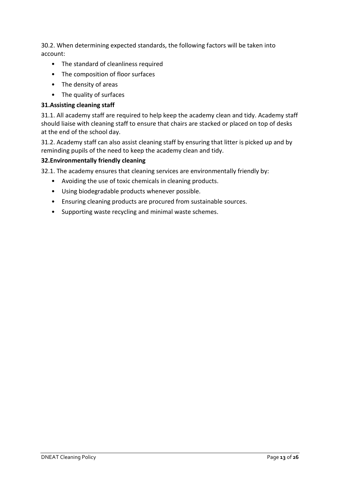30.2. When determining expected standards, the following factors will be taken into account:

- The standard of cleanliness required
- The composition of floor surfaces
- The density of areas
- The quality of surfaces

## **31.Assisting cleaning staff**

31.1. All academy staff are required to help keep the academy clean and tidy. Academy staff should liaise with cleaning staff to ensure that chairs are stacked or placed on top of desks at the end of the school day.

31.2. Academy staff can also assist cleaning staff by ensuring that litter is picked up and by reminding pupils of the need to keep the academy clean and tidy.

## **32.Environmentally friendly cleaning**

32.1. The academy ensures that cleaning services are environmentally friendly by:

- Avoiding the use of toxic chemicals in cleaning products.
- Using biodegradable products whenever possible.
- Ensuring cleaning products are procured from sustainable sources.
- Supporting waste recycling and minimal waste schemes.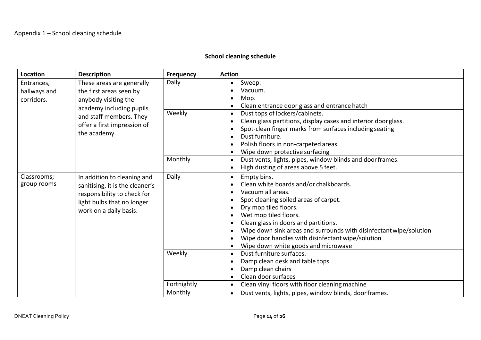## **School cleaning schedule**

| <b>Location</b>                                                                                                          | <b>Description</b>                                                                                                                                    | Frequency   | <b>Action</b>                                                                                                                                                                                                                                                                                                                                                                                |
|--------------------------------------------------------------------------------------------------------------------------|-------------------------------------------------------------------------------------------------------------------------------------------------------|-------------|----------------------------------------------------------------------------------------------------------------------------------------------------------------------------------------------------------------------------------------------------------------------------------------------------------------------------------------------------------------------------------------------|
| Entrances,<br>These areas are generally<br>hallways and<br>the first areas seen by<br>corridors.<br>anybody visiting the |                                                                                                                                                       | Daily       | Sweep.<br>Vacuum.<br>Mop.<br>Clean entrance door glass and entrance hatch                                                                                                                                                                                                                                                                                                                    |
|                                                                                                                          | academy including pupils<br>and staff members. They<br>offer a first impression of<br>the academy.                                                    | Weekly      | Dust tops of lockers/cabinets.<br>$\bullet$<br>Clean glass partitions, display cases and interior doorglass.<br>Spot-clean finger marks from surfaces including seating<br>Dust furniture.<br>Polish floors in non-carpeted areas.<br>Wipe down protective surfacing                                                                                                                         |
|                                                                                                                          |                                                                                                                                                       | Monthly     | Dust vents, lights, pipes, window blinds and door frames.<br>$\bullet$<br>High dusting of areas above 5 feet.                                                                                                                                                                                                                                                                                |
| Classrooms;<br>group rooms                                                                                               | In addition to cleaning and<br>sanitising, it is the cleaner's<br>responsibility to check for<br>light bulbs that no longer<br>work on a daily basis. | Daily       | Empty bins.<br>$\bullet$<br>Clean white boards and/or chalkboards.<br>Vacuum all areas.<br>Spot cleaning soiled areas of carpet.<br>Dry mop tiled floors.<br>Wet mop tiled floors.<br>Clean glass in doors and partitions.<br>Wipe down sink areas and surrounds with disinfectant wipe/solution<br>Wipe door handles with disinfectant wipe/solution<br>Wipe down white goods and microwave |
|                                                                                                                          |                                                                                                                                                       | Weekly      | Dust furniture surfaces.<br>$\bullet$<br>Damp clean desk and table tops<br>Damp clean chairs<br>Clean door surfaces                                                                                                                                                                                                                                                                          |
|                                                                                                                          |                                                                                                                                                       | Fortnightly | Clean vinyl floors with floor cleaning machine<br>$\bullet$                                                                                                                                                                                                                                                                                                                                  |
|                                                                                                                          |                                                                                                                                                       | Monthly     | Dust vents, lights, pipes, window blinds, door frames.<br>$\bullet$                                                                                                                                                                                                                                                                                                                          |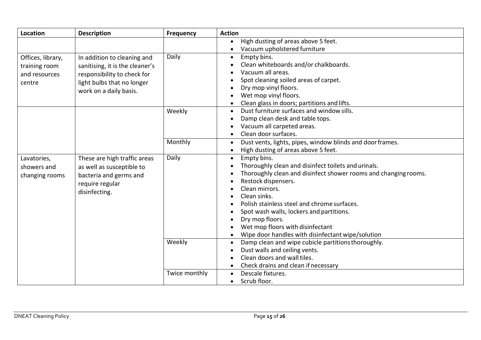| <b>Location</b>   | <b>Description</b>              | <b>Frequency</b> | <b>Action</b>                                                          |  |  |  |
|-------------------|---------------------------------|------------------|------------------------------------------------------------------------|--|--|--|
|                   |                                 |                  | High dusting of areas above 5 feet.                                    |  |  |  |
|                   |                                 |                  | Vacuum upholstered furniture                                           |  |  |  |
| Offices, library, | In addition to cleaning and     | Daily            | Empty bins.<br>$\bullet$                                               |  |  |  |
| training room     | sanitising, it is the cleaner's |                  | Clean whiteboards and/or chalkboards.                                  |  |  |  |
| and resources     | responsibility to check for     |                  | Vacuum all areas.                                                      |  |  |  |
| centre            | light bulbs that no longer      |                  | Spot cleaning soiled areas of carpet.                                  |  |  |  |
|                   | work on a daily basis.          |                  | Dry mop vinyl floors.                                                  |  |  |  |
|                   |                                 |                  | Wet mop vinyl floors.                                                  |  |  |  |
|                   |                                 |                  | Clean glass in doors; partitions and lifts.                            |  |  |  |
|                   |                                 | Weekly           | Dust furniture surfaces and window sills.<br>$\bullet$                 |  |  |  |
|                   |                                 |                  | Damp clean desk and table tops.                                        |  |  |  |
|                   |                                 |                  | Vacuum all carpeted areas.                                             |  |  |  |
|                   |                                 |                  | Clean door surfaces.                                                   |  |  |  |
|                   |                                 | Monthly          | Dust vents, lights, pipes, window blinds and door frames.<br>$\bullet$ |  |  |  |
|                   |                                 |                  | High dusting of areas above 5 feet.<br>$\bullet$                       |  |  |  |
| Lavatories,       | These are high traffic areas    | Daily            | Empty bins.<br>$\bullet$                                               |  |  |  |
| showers and       | as well as susceptible to       |                  | Thoroughly clean and disinfect toilets and urinals.                    |  |  |  |
| changing rooms    | bacteria and germs and          |                  | Thoroughly clean and disinfect shower rooms and changing rooms.        |  |  |  |
|                   | require regular                 |                  | Restock dispensers.                                                    |  |  |  |
|                   | disinfecting.                   |                  | Clean mirrors.                                                         |  |  |  |
|                   |                                 |                  | Clean sinks.                                                           |  |  |  |
|                   |                                 |                  | Polish stainless steel and chrome surfaces.                            |  |  |  |
|                   |                                 |                  | Spot wash walls, lockers and partitions.                               |  |  |  |
|                   |                                 |                  | Dry mop floors.                                                        |  |  |  |
|                   |                                 |                  | Wet mop floors with disinfectant                                       |  |  |  |
|                   |                                 |                  | Wipe door handles with disinfectant wipe/solution                      |  |  |  |
|                   |                                 | Weekly           | Damp clean and wipe cubicle partitions thoroughly.<br>$\bullet$        |  |  |  |
|                   |                                 |                  | Dust walls and ceiling vents.                                          |  |  |  |
|                   |                                 |                  | Clean doors and wall tiles.                                            |  |  |  |
|                   |                                 |                  | Check drains and clean if necessary                                    |  |  |  |
|                   |                                 | Twice monthly    | Descale fixtures.<br>$\bullet$                                         |  |  |  |
|                   |                                 |                  | Scrub floor.<br>$\bullet$                                              |  |  |  |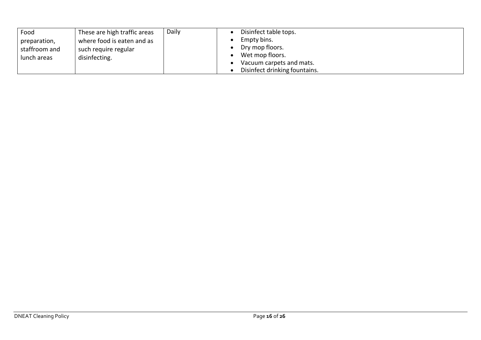| Food          | These are high traffic areas | Daily | Disinfect table tops.         |
|---------------|------------------------------|-------|-------------------------------|
| preparation,  | where food is eaten and as   |       | Empty bins.                   |
| staffroom and | such require regular         |       | Dry mop floors.               |
| lunch areas   | disinfecting.                |       | Wet mop floors.               |
|               |                              |       | Vacuum carpets and mats.      |
|               |                              |       | Disinfect drinking fountains. |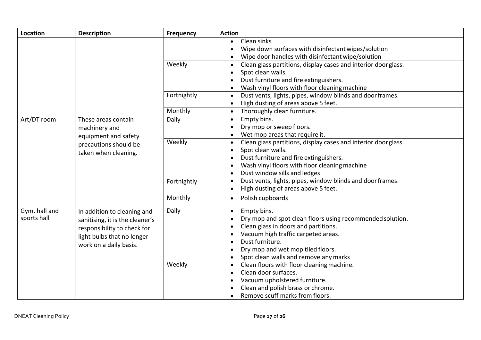| <b>Location</b>              | <b>Description</b>                                                                                                                                    | <b>Frequency</b> | <b>Action</b>                                                                                                                                                                                                                                            |
|------------------------------|-------------------------------------------------------------------------------------------------------------------------------------------------------|------------------|----------------------------------------------------------------------------------------------------------------------------------------------------------------------------------------------------------------------------------------------------------|
|                              |                                                                                                                                                       |                  | Clean sinks<br>Wipe down surfaces with disinfectant wipes/solution<br>Wipe door handles with disinfectant wipe/solution                                                                                                                                  |
|                              |                                                                                                                                                       | Weekly           | Clean glass partitions, display cases and interior door glass.<br>Spot clean walls.<br>Dust furniture and fire extinguishers.<br>Wash vinyl floors with floor cleaning machine                                                                           |
|                              |                                                                                                                                                       | Fortnightly      | Dust vents, lights, pipes, window blinds and door frames.<br>$\bullet$<br>High dusting of areas above 5 feet.                                                                                                                                            |
|                              |                                                                                                                                                       | Monthly          | Thoroughly clean furniture.                                                                                                                                                                                                                              |
| Art/DT room                  | These areas contain<br>machinery and<br>equipment and safety                                                                                          | Daily            | Empty bins.<br>$\bullet$<br>Dry mop or sweep floors.<br>Wet mop areas that require it.                                                                                                                                                                   |
|                              | precautions should be<br>taken when cleaning.                                                                                                         | Weekly           | Clean glass partitions, display cases and interior doorglass.<br>$\bullet$<br>Spot clean walls.<br>Dust furniture and fire extinguishers.<br>Wash vinyl floors with floor cleaning machine<br>Dust window sills and ledges                               |
|                              |                                                                                                                                                       | Fortnightly      | Dust vents, lights, pipes, window blinds and door frames.<br>$\bullet$<br>High dusting of areas above 5 feet.                                                                                                                                            |
|                              |                                                                                                                                                       | Monthly          | Polish cupboards<br>$\bullet$                                                                                                                                                                                                                            |
| Gym, hall and<br>sports hall | In addition to cleaning and<br>sanitising, it is the cleaner's<br>responsibility to check for<br>light bulbs that no longer<br>work on a daily basis. | Daily            | Empty bins.<br>Dry mop and spot clean floors using recommended solution.<br>Clean glass in doors and partitions.<br>Vacuum high traffic carpeted areas.<br>Dust furniture.<br>Dry mop and wet mop tiled floors.<br>Spot clean walls and remove any marks |
|                              |                                                                                                                                                       | Weekly           | Clean floors with floor cleaning machine.<br>Clean door surfaces.<br>Vacuum upholstered furniture.<br>Clean and polish brass or chrome.<br>Remove scuff marks from floors.                                                                               |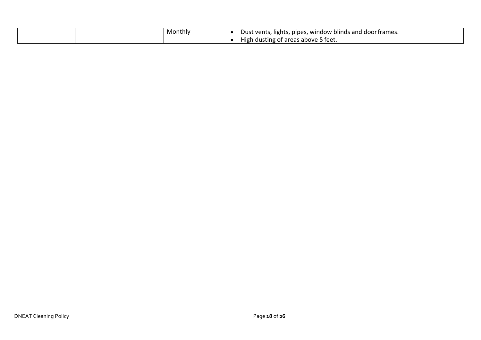| Monthiv | Dust vents, lights, pipes,<br>, window blinds and door frames. |
|---------|----------------------------------------------------------------|
|         | High dusting of areas above 5 feet.                            |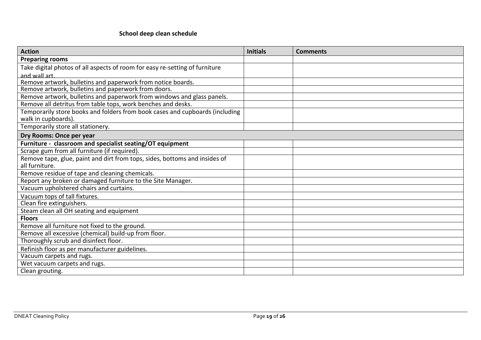## **School deep clean schedule**

| <b>Action</b>                                                                | <b>Initials</b> | <b>Comments</b> |
|------------------------------------------------------------------------------|-----------------|-----------------|
| <b>Preparing rooms</b>                                                       |                 |                 |
| Take digital photos of all aspects of room for easy re-setting of furniture  |                 |                 |
| and wall art.                                                                |                 |                 |
| Remove artwork, bulletins and paperwork from notice boards.                  |                 |                 |
| Remove artwork, bulletins and paperwork from doors.                          |                 |                 |
| Remove artwork, bulletins and paperwork from windows and glass panels.       |                 |                 |
| Remove all detritus from table tops, work benches and desks.                 |                 |                 |
| Temporarily store books and folders from book cases and cupboards (including |                 |                 |
| walk in cupboards).                                                          |                 |                 |
| Temporarily store all stationery.                                            |                 |                 |
| Dry Rooms: Once per year                                                     |                 |                 |
| Furniture - classroom and specialist seating/OT equipment                    |                 |                 |
| Scrape gum from all furniture (if required).                                 |                 |                 |
| Remove tape, glue, paint and dirt from tops, sides, bottoms and insides of   |                 |                 |
| all furniture.                                                               |                 |                 |
| Remove residue of tape and cleaning chemicals.                               |                 |                 |
| Report any broken or damaged furniture to the Site Manager.                  |                 |                 |
| Vacuum upholstered chairs and curtains.                                      |                 |                 |
| Vacuum tops of tall fixtures.                                                |                 |                 |
| Clean fire extinguishers.                                                    |                 |                 |
| Steam clean all OH seating and equipment                                     |                 |                 |
| <b>Floors</b>                                                                |                 |                 |
| Remove all furniture not fixed to the ground.                                |                 |                 |
| Remove all excessive (chemical) build-up from floor.                         |                 |                 |
| Thoroughly scrub and disinfect floor.                                        |                 |                 |
| Refinish floor as per manufacturer guidelines.                               |                 |                 |
| Vacuum carpets and rugs.                                                     |                 |                 |
| Wet vacuum carpets and rugs.                                                 |                 |                 |
| Clean grouting.                                                              |                 |                 |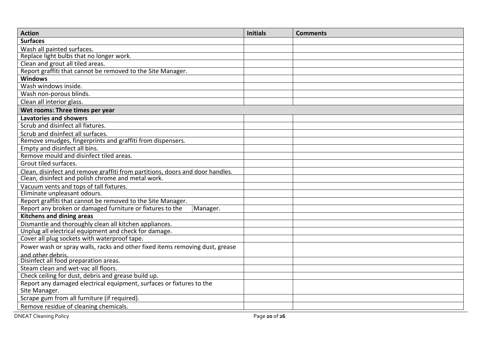| <b>Action</b>                                                                 | <b>Initials</b> | <b>Comments</b> |
|-------------------------------------------------------------------------------|-----------------|-----------------|
| <b>Surfaces</b>                                                               |                 |                 |
| Wash all painted surfaces.                                                    |                 |                 |
| Replace light bulbs that no longer work.                                      |                 |                 |
| Clean and grout all tiled areas.                                              |                 |                 |
| Report graffiti that cannot be removed to the Site Manager.                   |                 |                 |
| <b>Windows</b>                                                                |                 |                 |
| Wash windows inside.                                                          |                 |                 |
| Wash non-porous blinds.                                                       |                 |                 |
| Clean all interior glass.                                                     |                 |                 |
| Wet rooms: Three times per year                                               |                 |                 |
| <b>Lavatories and showers</b>                                                 |                 |                 |
| Scrub and disinfect all fixtures.                                             |                 |                 |
| Scrub and disinfect all surfaces.                                             |                 |                 |
| Remove smudges, fingerprints and graffiti from dispensers.                    |                 |                 |
| Empty and disinfect all bins.                                                 |                 |                 |
| Remove mould and disinfect tiled areas.                                       |                 |                 |
| Grout tiled surfaces.                                                         |                 |                 |
| Clean, disinfect and remove graffiti from partitions, doors and door handles. |                 |                 |
| Clean, disinfect and polish chrome and metal work.                            |                 |                 |
| Vacuum vents and tops of tall fixtures.                                       |                 |                 |
| Eliminate unpleasant odours.                                                  |                 |                 |
| Report graffiti that cannot be removed to the Site Manager.                   |                 |                 |
| Report any broken or damaged furniture or fixtures to the<br>Manager.         |                 |                 |
| <b>Kitchens and dining areas</b>                                              |                 |                 |
| Dismantle and thoroughly clean all kitchen appliances.                        |                 |                 |
| Unplug all electrical equipment and check for damage.                         |                 |                 |
| Cover all plug sockets with waterproof tape.                                  |                 |                 |
| Power wash or spray walls, racks and other fixed items removing dust, grease  |                 |                 |
| and other debris.                                                             |                 |                 |
| Disinfect all food preparation areas.                                         |                 |                 |
| Steam clean and wet-vac all floors.                                           |                 |                 |
| Check ceiling for dust, debris and grease build up.                           |                 |                 |
| Report any damaged electrical equipment, surfaces or fixtures to the          |                 |                 |
| Site Manager.                                                                 |                 |                 |
| Scrape gum from all furniture (if required).                                  |                 |                 |
| Remove residue of cleaning chemicals.                                         |                 |                 |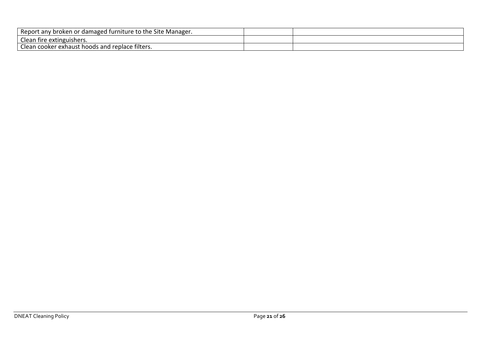| Report<br>' Site Manager.<br>/ broken or damaged furniture<br>the<br>$-$<br>rt anv |  |
|------------------------------------------------------------------------------------|--|
| Clean fire extinguishers.                                                          |  |
| -<br>cooker exhaust hoods and replace filters.<br>Llean                            |  |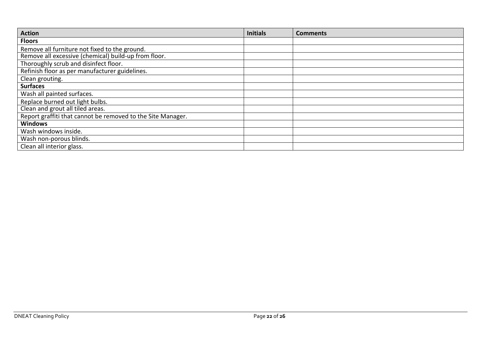| <b>Action</b>                                               | <b>Initials</b> | <b>Comments</b> |
|-------------------------------------------------------------|-----------------|-----------------|
| <b>Floors</b>                                               |                 |                 |
| Remove all furniture not fixed to the ground.               |                 |                 |
| Remove all excessive (chemical) build-up from floor.        |                 |                 |
| Thoroughly scrub and disinfect floor.                       |                 |                 |
| Refinish floor as per manufacturer guidelines.              |                 |                 |
| Clean grouting.                                             |                 |                 |
| <b>Surfaces</b>                                             |                 |                 |
| Wash all painted surfaces.                                  |                 |                 |
| Replace burned out light bulbs.                             |                 |                 |
| Clean and grout all tiled areas.                            |                 |                 |
| Report graffiti that cannot be removed to the Site Manager. |                 |                 |
| <b>Windows</b>                                              |                 |                 |
| Wash windows inside.                                        |                 |                 |
| Wash non-porous blinds.                                     |                 |                 |
| Clean all interior glass.                                   |                 |                 |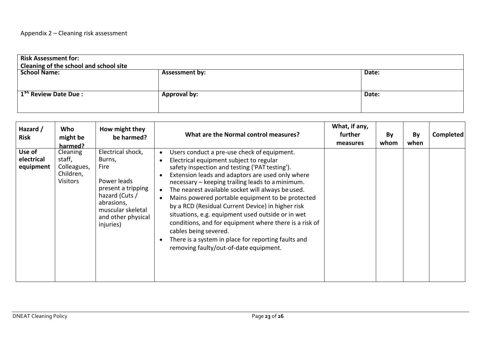| <b>Risk Assessment for:</b><br>Cleaning of the school and school site |                       |       |  |  |
|-----------------------------------------------------------------------|-----------------------|-------|--|--|
| <b>School Name:</b>                                                   | <b>Assessment by:</b> | Date: |  |  |
|                                                                       |                       |       |  |  |
|                                                                       |                       |       |  |  |
| 1 <sup>51</sup> Review Date Due:                                      | <b>Approval by:</b>   | Date: |  |  |
|                                                                       |                       |       |  |  |
|                                                                       |                       |       |  |  |

| Hazard /<br><b>Risk</b>           | Who<br>might be<br>harmed?                                 | How might they<br>be harmed?                                                                                                                                     | What are the Normal control measures?                                                                                                                                                                                                                                                                                                                                                                                                                                                                                                                                                                                                                                                          | What, if any,<br>further<br>measures | By<br>whom | By<br>when | Completed |
|-----------------------------------|------------------------------------------------------------|------------------------------------------------------------------------------------------------------------------------------------------------------------------|------------------------------------------------------------------------------------------------------------------------------------------------------------------------------------------------------------------------------------------------------------------------------------------------------------------------------------------------------------------------------------------------------------------------------------------------------------------------------------------------------------------------------------------------------------------------------------------------------------------------------------------------------------------------------------------------|--------------------------------------|------------|------------|-----------|
| Use of<br>electrical<br>equipment | Cleaning<br>staff,<br>Colleagues,<br>Children,<br>Visitors | Electrical shock,<br>Burns,<br>Fire<br>Power leads<br>present a tripping<br>hazard (Cuts /<br>abrasions,<br>muscular skeletal<br>and other physical<br>injuries) | Users conduct a pre-use check of equipment.<br>$\bullet$<br>Electrical equipment subject to regular<br>safety inspection and testing ('PAT testing').<br>Extension leads and adaptors are used only where<br>necessary - keeping trailing leads to a minimum.<br>The nearest available socket will always be used.<br>$\bullet$<br>Mains powered portable equipment to be protected<br>$\bullet$<br>by a RCD (Residual Current Device) in higher risk<br>situations, e.g. equipment used outside or in wet<br>conditions, and for equipment where there is a risk of<br>cables being severed.<br>There is a system in place for reporting faults and<br>removing faulty/out-of-date equipment. |                                      |            |            |           |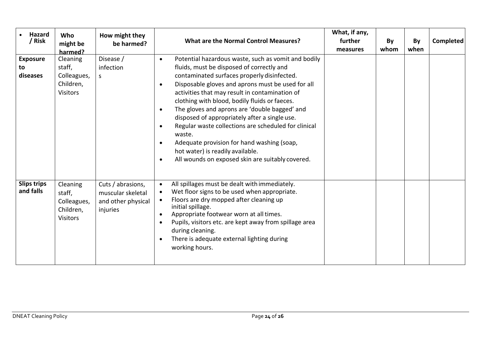| Hazard<br>/ Risk                  | <b>Who</b><br>might be<br>harmed?                                 | How might they<br>be harmed?                                             | <b>What are the Normal Control Measures?</b>                                                                                                                                                                                                                                                                                                                                                                                                                                                                                                                                                                                                                                                    | What, if any,<br>further<br>measures | By<br>whom | By<br>when | Completed |
|-----------------------------------|-------------------------------------------------------------------|--------------------------------------------------------------------------|-------------------------------------------------------------------------------------------------------------------------------------------------------------------------------------------------------------------------------------------------------------------------------------------------------------------------------------------------------------------------------------------------------------------------------------------------------------------------------------------------------------------------------------------------------------------------------------------------------------------------------------------------------------------------------------------------|--------------------------------------|------------|------------|-----------|
| <b>Exposure</b><br>to<br>diseases | Cleaning<br>staff,<br>Colleagues,<br>Children,<br><b>Visitors</b> | Disease /<br>infection<br>S.                                             | Potential hazardous waste, such as vomit and bodily<br>$\bullet$<br>fluids, must be disposed of correctly and<br>contaminated surfaces properly disinfected.<br>Disposable gloves and aprons must be used for all<br>$\bullet$<br>activities that may result in contamination of<br>clothing with blood, bodily fluids or faeces.<br>The gloves and aprons are 'double bagged' and<br>$\bullet$<br>disposed of appropriately after a single use.<br>Regular waste collections are scheduled for clinical<br>$\bullet$<br>waste.<br>Adequate provision for hand washing (soap,<br>$\bullet$<br>hot water) is readily available.<br>All wounds on exposed skin are suitably covered.<br>$\bullet$ |                                      |            |            |           |
| <b>Slips trips</b><br>and falls   | Cleaning<br>staff,<br>Colleagues,<br>Children,<br>Visitors        | Cuts / abrasions,<br>muscular skeletal<br>and other physical<br>injuries | All spillages must be dealt with immediately.<br>$\bullet$<br>Wet floor signs to be used when appropriate.<br>$\bullet$<br>Floors are dry mopped after cleaning up<br>$\bullet$<br>initial spillage.<br>Appropriate footwear worn at all times.<br>$\bullet$<br>Pupils, visitors etc. are kept away from spillage area<br>$\bullet$<br>during cleaning.<br>There is adequate external lighting during<br>working hours.                                                                                                                                                                                                                                                                         |                                      |            |            |           |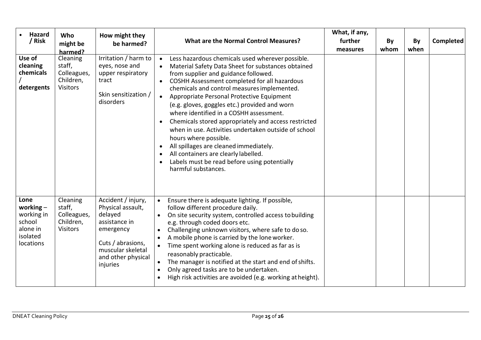| <b>Hazard</b><br>/ Risk                                                          | Who<br>might be<br>harmed?                                        | How might they<br>be harmed?                                                                                                                                 | <b>What are the Normal Control Measures?</b>                                                                                                                                                                                                                                                                                                                                                                                                                                                                                                                                                                                                                                                                                                                           | What, if any,<br>further<br>measures | By<br>whom | By<br>when | <b>Completed</b> |
|----------------------------------------------------------------------------------|-------------------------------------------------------------------|--------------------------------------------------------------------------------------------------------------------------------------------------------------|------------------------------------------------------------------------------------------------------------------------------------------------------------------------------------------------------------------------------------------------------------------------------------------------------------------------------------------------------------------------------------------------------------------------------------------------------------------------------------------------------------------------------------------------------------------------------------------------------------------------------------------------------------------------------------------------------------------------------------------------------------------------|--------------------------------------|------------|------------|------------------|
| Use of<br>cleaning<br>chemicals<br>detergents                                    | Cleaning<br>staff,<br>Colleagues,<br>Children,<br><b>Visitors</b> | Irritation / harm to<br>eyes, nose and<br>upper respiratory<br>tract<br>Skin sensitization /<br>disorders                                                    | Less hazardous chemicals used wherever possible.<br>$\bullet$<br>Material Safety Data Sheet for substances obtained<br>$\bullet$<br>from supplier and guidance followed.<br>COSHH Assessment completed for all hazardous<br>$\bullet$<br>chemicals and control measures implemented.<br>Appropriate Personal Protective Equipment<br>$\bullet$<br>(e.g. gloves, goggles etc.) provided and worn<br>where identified in a COSHH assessment.<br>Chemicals stored appropriately and access restricted<br>$\bullet$<br>when in use. Activities undertaken outside of school<br>hours where possible.<br>All spillages are cleaned immediately.<br>$\bullet$<br>All containers are clearly labelled.<br>Labels must be read before using potentially<br>harmful substances. |                                      |            |            |                  |
| Lone<br>working $-$<br>working in<br>school<br>alone in<br>isolated<br>locations | Cleaning<br>staff,<br>Colleagues,<br>Children,<br><b>Visitors</b> | Accident / injury,<br>Physical assault,<br>delayed<br>assistance in<br>emergency<br>Cuts / abrasions,<br>muscular skeletal<br>and other physical<br>injuries | Ensure there is adequate lighting. If possible,<br>follow different procedure daily.<br>On site security system, controlled access to building<br>e.g. through coded doors etc.<br>Challenging unknown visitors, where safe to do so.<br>A mobile phone is carried by the lone worker.<br>Time spent working alone is reduced as far as is<br>reasonably practicable.<br>The manager is notified at the start and end of shifts.<br>Only agreed tasks are to be undertaken.<br>$\bullet$<br>High risk activities are avoided (e.g. working at height).                                                                                                                                                                                                                 |                                      |            |            |                  |